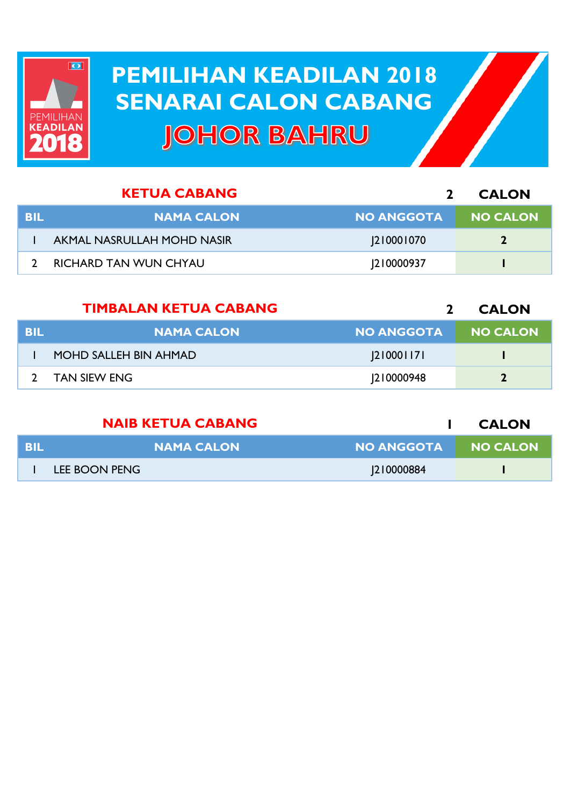

## **PEMILIHAN KEADILAN 2018 PEMILIHAN KEADILAN 2018 SENARAI CALON CABANG SENARAI CALON CABANGJOHOR BAHRU**

|     | <b>KETUA CABANG</b>          |                   | <b>CALON</b>    |
|-----|------------------------------|-------------------|-----------------|
| BIL | <b>NAMA CALON</b>            | <b>NO ANGGOTA</b> | <b>NO CALON</b> |
|     | AKMAL NASRULLAH MOHD NASIR   | 210001070         | $\mathbf{2}$    |
|     | <b>RICHARD TAN WUN CHYAU</b> | <b>210000937</b>  |                 |

|            | <b>TIMBALAN KETUA CABANG</b> |                   | <b>CALON</b>    |
|------------|------------------------------|-------------------|-----------------|
| <b>BIL</b> | <b>NAMA CALON</b>            | <b>NO ANGGOTA</b> | <b>NO CALON</b> |
|            | MOHD SALLEH BIN AHMAD        | 2 000 17          |                 |
|            | <b>TAN SIEW ENG</b>          | 210000948         | 2               |

|            | <b>NAIB KETUA CABANG</b> |                     | <b>CALON</b> |
|------------|--------------------------|---------------------|--------------|
| <b>BIL</b> | <b>NAMA CALON</b>        | NO ANGGOTA NO CALON |              |
|            | LEE BOON PENG            | <b>210000884</b>    |              |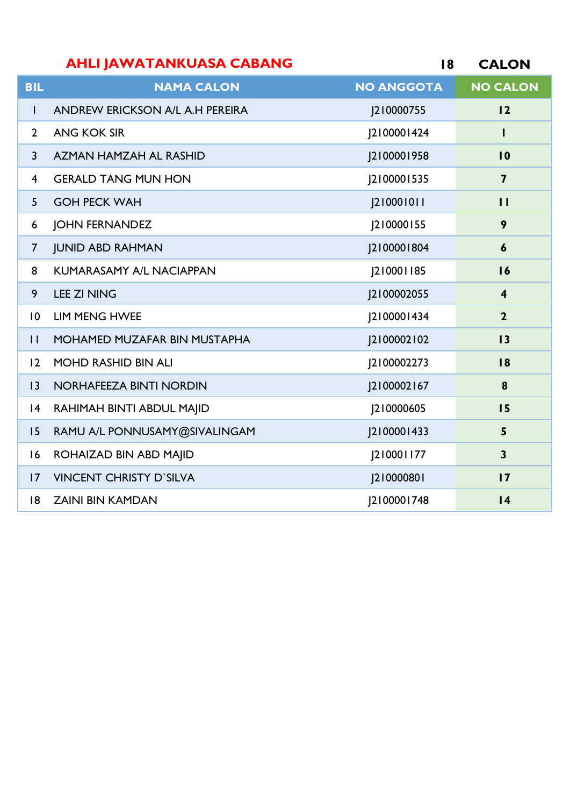|                | <b>AHLI JAWATANKUASA CABANG</b> | 18                | <b>CALON</b>            |
|----------------|---------------------------------|-------------------|-------------------------|
| <b>BIL</b>     | <b>NAMA CALON</b>               | <b>NO ANGGOTA</b> | <b>NO CALON</b>         |
| $\mathbf{I}$   | ANDREW ERICKSON A/L A.H PEREIRA | J210000755        | 12                      |
| $\overline{2}$ | <b>ANG KOK SIR</b>              | J2100001424       | L                       |
| $\overline{3}$ | AZMAN HAMZAH AL RASHID          | J2100001958       | $\overline{10}$         |
| $\overline{4}$ | <b>GERALD TANG MUN HON</b>      | J2100001535       | $\overline{\mathbf{z}}$ |
| 5              | <b>GOH PECK WAH</b>             | [210001011        | $\mathbf{H}$            |
| 6              | <b>JOHN FERNANDEZ</b>           | J210000155        | 9                       |
| $\overline{7}$ | <b>JUNID ABD RAHMAN</b>         | 2100001804        | $\boldsymbol{6}$        |
| 8              | <b>KUMARASAMY A/L NACIAPPAN</b> | 210001185         | 16                      |
| 9              | <b>LEE ZI NING</b>              | J2100002055       | $\overline{\mathbf{4}}$ |
| $\overline{0}$ | <b>LIM MENG HWEE</b>            | J2100001434       | $\mathbf{2}$            |
| $\mathbf{H}$   | MOHAMED MUZAFAR BIN MUSTAPHA    | [2100002102       | 13                      |
| 12             | <b>MOHD RASHID BIN ALI</b>      | J2100002273       | 18                      |
| 3              | NORHAFEEZA BINTI NORDIN         | J2100002167       | 8                       |
| 4              | RAHIMAH BINTI ABDUL MAJID       | J210000605        | 15                      |
| 15             | RAMU A/L PONNUSAMY@SIVALINGAM   | J2100001433       | 5                       |
| 16             | ROHAIZAD BIN ABD MAJID          | 210001177         | $\overline{\mathbf{3}}$ |
| 17             | <b>VINCENT CHRISTY D'SILVA</b>  | [210000801        | 17                      |
| 8              | <b>ZAINI BIN KAMDAN</b>         | J2100001748       | 4                       |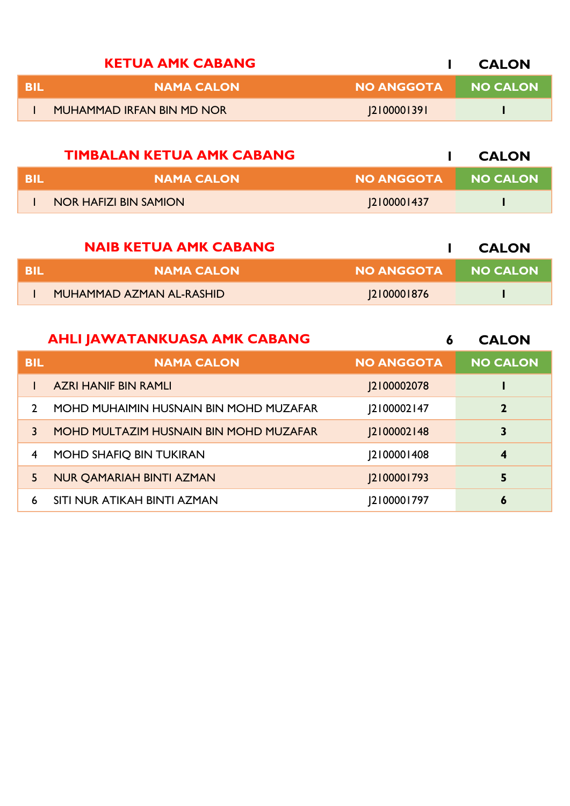|      | <b>KETUA AMK CABANG</b>   |                   | <b>CALON</b>    |
|------|---------------------------|-------------------|-----------------|
| -BII | <b>NAMA CALON</b>         | <b>NO ANGGOTA</b> | <b>NO CALON</b> |
|      | MUHAMMAD IRFAN BIN MD NOR | 2100001391        |                 |

|      | <b>TIMBALAN KETUA AMK CABANG</b> |                       | <b>CALON</b> |
|------|----------------------------------|-----------------------|--------------|
| -BIL | NAMA CALON                       | <b>I NO ANGGOTA</b> \ | NO CALON     |
|      | <b>NOR HAFIZI BIN SAMION</b>     | 2100001437            |              |

|     | <b>NAIB KETUA AMK CABANG</b> |                   | <b>CALON</b>    |
|-----|------------------------------|-------------------|-----------------|
| BIL | <b>NAMA CALON</b>            | <b>NO ANGGOTA</b> | <b>NO CALON</b> |
|     | MUHAMMAD AZMAN AL-RASHID     | 2100001876        |                 |

|               | <b>AHLI JAWATANKUASA AMK CABANG</b>    | 6                  | <b>CALON</b>     |
|---------------|----------------------------------------|--------------------|------------------|
| <b>BIL</b>    | <b>NAMA CALON</b>                      | <b>NO ANGGOTA</b>  | <b>NO CALON</b>  |
|               | <b>AZRI HANIF BIN RAMLI</b>            | <b>J2100002078</b> |                  |
| $\mathcal{L}$ | MOHD MUHAIMIN HUSNAIN BIN MOHD MUZAFAR | [2100002147        | $\mathbf{2}$     |
| 3             | MOHD MULTAZIM HUSNAIN BIN MOHD MUZAFAR | <b>J2100002148</b> | 3                |
| 4             | MOHD SHAFIQ BIN TUKIRAN                | [2100001408]       | $\boldsymbol{4}$ |
| 5.            | <b>NUR QAMARIAH BINTI AZMAN</b>        | <b>2100001793</b>  | 5                |
| 6             | SITI NUR ATIKAH BINTI AZMAN            | 2100001797         | 6                |